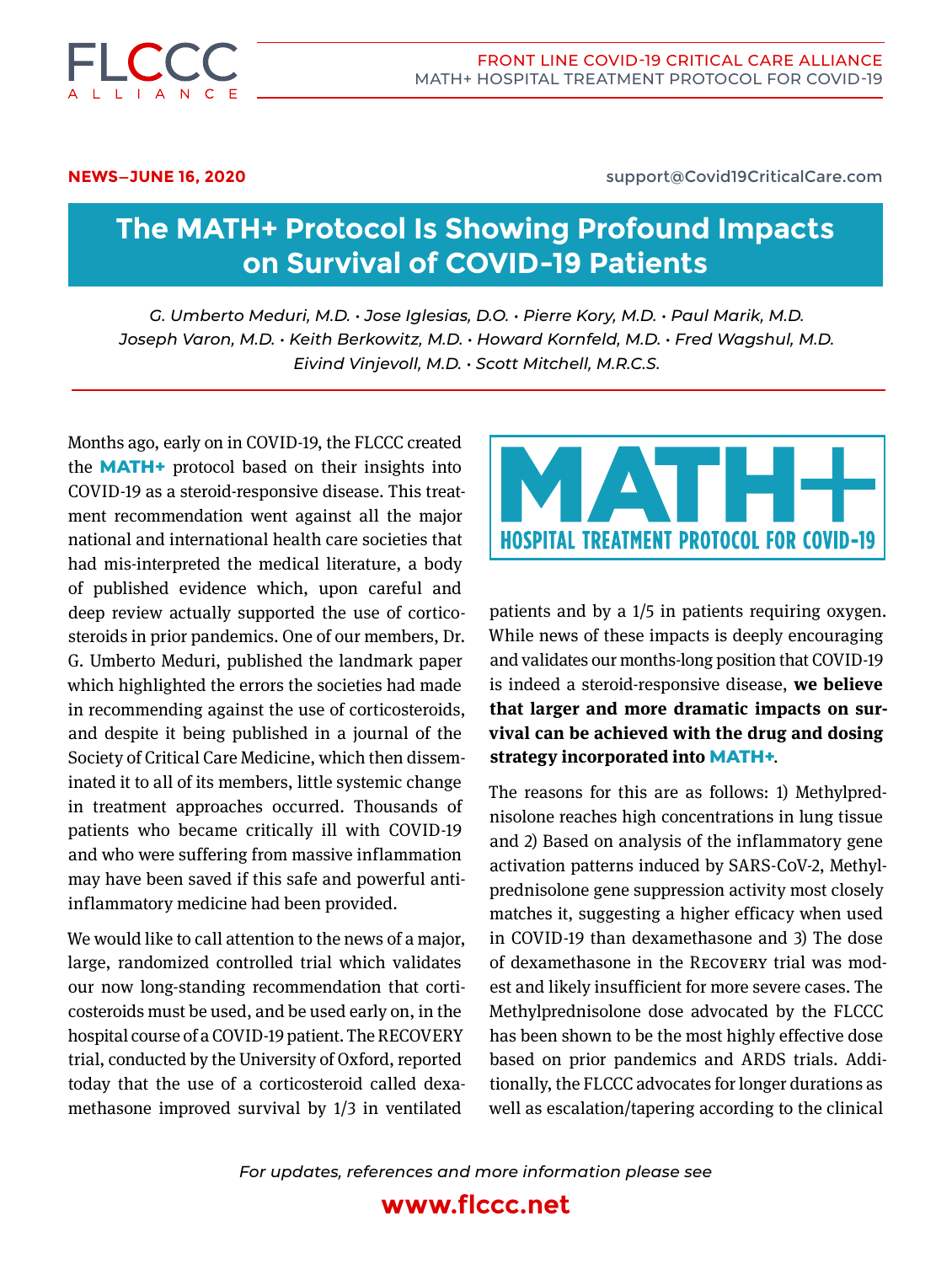

Front Line Covid-19 Critical Care Alliance MATH+ Hospital Treatment protocol for Covid-19

**NEWS—JUNE 16, 2020** support@Covid19CriticalCare.com

# **The MATH+ Protocol Is Showing Profound Impacts on Survival of COVID-19 Patients**

*G. Umberto Meduri, M.D. • Jose Iglesias, D.O. • Pierre Kory, M.D. • Paul Marik, M.D. Joseph Varon, M.D. • Keith Berkowitz, M.D. • Howard Kornfeld, M.D. • Fred Wagshul, M.D. Eivind Vinjevoll, M.D. • Scott Mitchell, M.R.C.S.*

Months ago, early on in COVID-19, the FLCCC created the **MATH+** protocol based on their insights into COVID-19 as a steroid-responsive disease. This treatment recommendation went against all the major national and international health care societies that had mis-interpreted the medical literature, a body of published evidence which, upon careful and deep review actually supported the use of corticosteroids in prior pandemics. One of our members, Dr. G. Umberto Meduri, published the landmark paper which highlighted the errors the societies had made in recommending against the use of corticosteroids, and despite it being published in a journal of the Society of Critical Care Medicine, which then disseminated it to all of its members, little systemic change in treatment approaches occurred. Thousands of patients who became critically ill with COVID-19 and who were suffering from massive inflammation may have been saved if this safe and powerful antiinflammatory medicine had been provided.

We would like to call attention to the news of a major, large, randomized controlled trial which validates our now long-standing recommendation that corticosteroids must be used, and be used early on, in the hospital course of a COVID-19 patient. The RECOVERY trial, conducted by the University of Oxford, reported today that the use of a corticosteroid called dexamethasone improved survival by 1/3 in ventilated



patients and by a 1/5 in patients requiring oxygen. While news of these impacts is deeply encouraging and validates our months-long position that COVID-19 is indeed a steroid-responsive disease, **we believe that larger and more dramatic impacts on survival can be achieved with the drug and dosing strategy incorporated into MATH+**.

The reasons for this are as follows: 1) Methylprednisolone reaches high concentrations in lung tissue and 2) Based on analysis of the inflammatory gene activation patterns induced by SARS-CoV-2, Methylprednisolone gene suppression activity most closely matches it, suggesting a higher efficacy when used in COVID-19 than dexamethasone and 3) The dose of dexamethasone in the Recovery trial was modest and likely insufficient for more severe cases. The Methylprednisolone dose advocated by the FLCCC has been shown to be the most highly effective dose based on prior pandemics and ARDS trials. Additionally, the FLCCC advocates for longer durations as well as escalation/tapering according to the clinical

*For updates, references and more information please see*

## **www.flccc.net**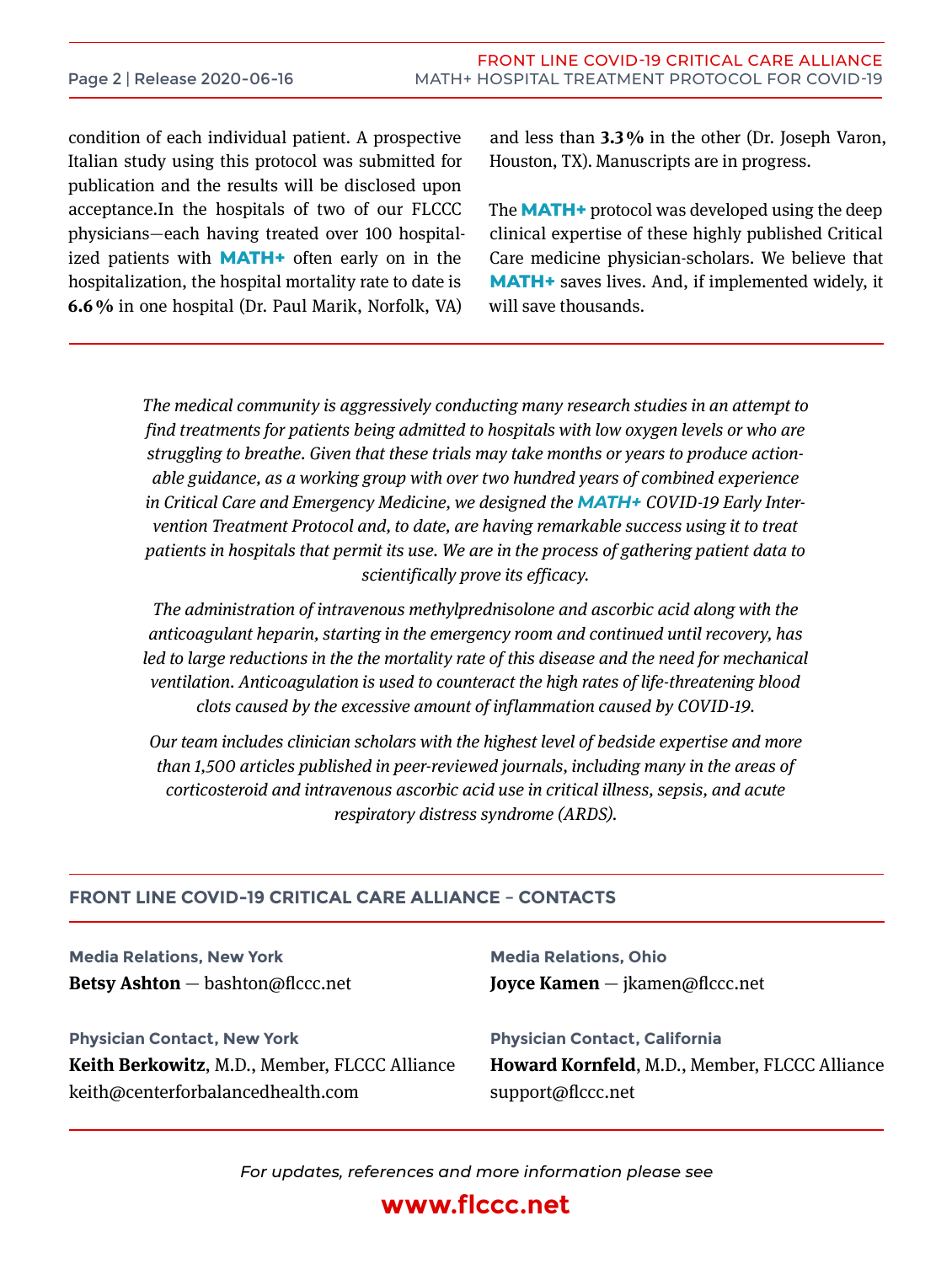condition of each individual patient. A prospective Italian study using this protocol was submitted for publication and the results will be disclosed upon acceptance.In the hospitals of two of our FLCCC physicians—each having treated over 100 hospitalized patients with **MATH+** often early on in the hospitalization, the hospital mortality rate to date is **6.6 %** in one hospital (Dr. Paul Marik, Norfolk, VA)

and less than **3.3 %** in the other (Dr. Joseph Varon, Houston, TX). Manuscripts are in progress.

The **MATH+** protocol was developed using the deep clinical expertise of these highly published Critical Care medicine physician-scholars. We believe that **MATH+** saves lives. And, if implemented widely, it will save thousands.

*The medical community is aggressively conducting many research studies in an attempt to find treatments for patients being admitted to hospitals with low oxygen levels or who are struggling to breathe. Given that these trials may take months or years to produce actionable guidance, as a working group with over two hundred years of combined experience in Critical Care and Emergency Medicine, we designed the MATH+ Covid-19 Early Intervention Treatment Protocol and, to date, are having remarkable success using it to treat patients in hospitals that permit its use. We are in the process of gathering patient data to scientifically prove its efficacy.* 

*The administration of intravenous methylprednisolone and ascorbic acid along with the anticoagulant heparin, starting in the emergency room and continued until recovery, has*  led to large reductions in the the mortality rate of this disease and the need for mechanical *ventilation. Anticoagulation is used to counteract the high rates of life-threatening blood clots caused by the excessive amount of inflammation caused by Covid-19.*

*Our team includes clinician scholars with the highest level of bedside expertise and more than 1,500 articles published in peer-reviewed journals, including many in the areas of corticosteroid and intravenous ascorbic acid use in critical illness, sepsis, and acute respiratory distress syndrome (ARDS).*

### **FRONT LINE COVID-19 CRITICAL CARE Alliance – ContaCts**

**Media Relations, New York Betsy Ashton** — bashton@flccc.net

**Media Relations, Ohio Joyce Kamen** — jkamen@flccc.net

**Physician Contact, New York Keith Berkowitz**, M.D., Member, FLCCC Alliance keith@centerforbalancedhealth.com

**Physician Contact, California Howard Kornfeld**, M.D., Member, FLCCC Alliance support@flccc.net

*For updates, references and more information please see*

## **www.flccc.net**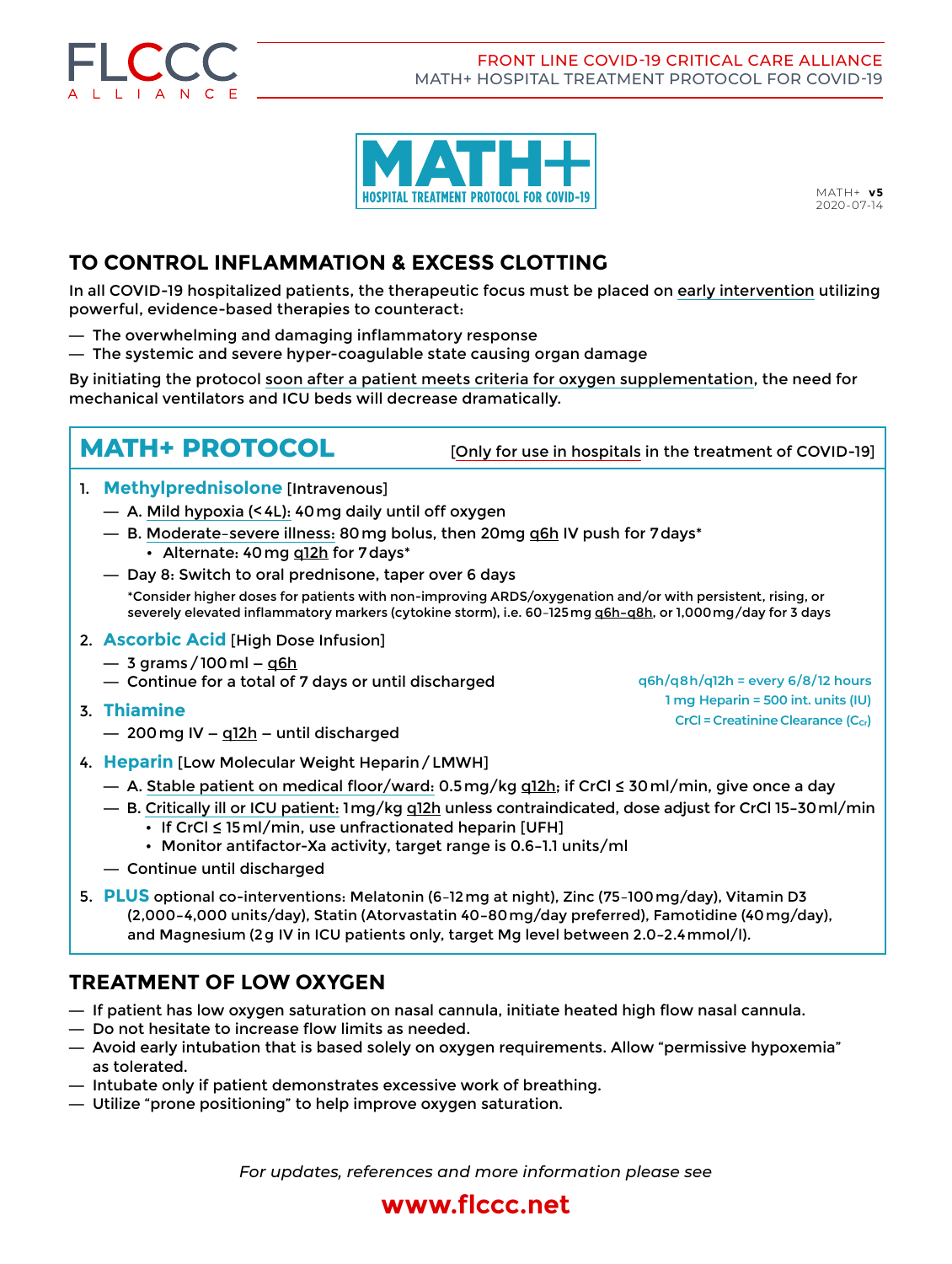

Front Line Covid-19 Critical Care Alliance MATH+ Hospital Treatment protocol for Covid-19



MATH+ **v5** 2020-07-14

## **TO CONTROL INFLAMMATION & EXCESS CLOTTING**

In all COVID-19 hospitalized patients, the therapeutic focus must be placed on early intervention utilizing powerful, evidence-based therapies to counteract:

- **—** The overwhelming and damaging inflammatory response
- **—** The systemic and severe hyper-coagulable state causing organ damage

By initiating the protocol soon after a patient meets criteria for oxygen supplementation, the need for mechanical ventilators and ICU beds will decrease dramatically.

**MATH+ PROTOCOL** [Only for use in hospitals in the treatment of COVID-19]

**q6h/q8h/q12h = every 6/8/12 hours 1 mg Heparin = 500 int. units (IU) CrCl = Creatinine Clearance (C<sub>cr</sub>)** 

- 1. **Methylprednisolone** [Intravenous]
	- **—** A. Mild hypoxia (<4L): 40mg daily until off oxygen
	- **—** B. Moderate–severe illness: 80mg bolus, then 20mg q6h IV push for 7days\* • Alternate: 40 mg g12h for 7 days\*
	- **—** Day 8: Switch to oral prednisone, taper over 6 days \*Consider higher doses for patients with non-improving ARDS/oxygenation and/or with persistent, rising, or severely elevated inflammatory markers (cytokine storm), i.e. 60–125mg q6h**–**q8h, or 1,000mg/day for 3 days
- 2. **Ascorbic Acid** [High Dose Infusion]
	- **—** 3 grams/100ml **—** q6h
	- **—** Continue for a total of 7 days or until discharged
- 3. **Thiamine**
	- **—** 200mg IV **—** q12h **—** until discharged
- 4. **Heparin** [Low Molecular Weight Heparin/LMWH]
	- **—** A. Stable patient on medical floor/ward: 0.5mg/kg q12h; if CrCl ≤ 30ml/min, give once a day
	- **—** B. Critically ill or ICU patient: 1mg/kg q12h unless contraindicated, dose adjust for CrCl 15**–**30ml/min • If CrCl ≤ 15ml/min, use unfractionated heparin [UFH]
		- • Monitor antifactor-Xa activity, target range is 0.6**–**1.1 units/ml
	- **—** Continue until discharged
- 5. **PLUS** optional co-interventions: Melatonin (6-12 mg at night), Zinc (75-100 mg/day), Vitamin D3 (2,000**–**4,000 units/day), Statin (Atorvastatin 40**–**80mg/day preferred), Famotidine (40mg/day), and Magnesium (2g IV in ICU patients only, target Mg level between 2.0**–**2.4mmol/l).

### **TREATMENT OF LOW OXYGEN**

- **—** If patient has low oxygen saturation on nasal cannula, initiate heated high flow nasal cannula.
- **—** Do not hesitate to increase flow limits as needed.
- **—** Avoid early intubation that is based solely on oxygen requirements. Allow "permissive hypoxemia" as tolerated.
- **—** Intubate only if patient demonstrates excessive work of breathing.
- **—** Utilize "prone positioning" to help improve oxygen saturation.

*For updates, references and more information please see*

# **www.flccc.net**